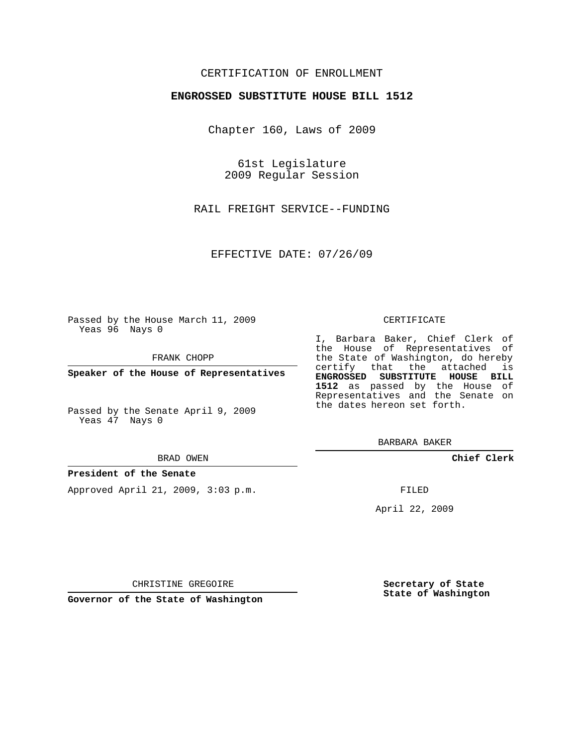# CERTIFICATION OF ENROLLMENT

## **ENGROSSED SUBSTITUTE HOUSE BILL 1512**

Chapter 160, Laws of 2009

61st Legislature 2009 Regular Session

RAIL FREIGHT SERVICE--FUNDING

EFFECTIVE DATE: 07/26/09

Passed by the House March 11, 2009 Yeas 96 Nays 0

FRANK CHOPP

**Speaker of the House of Representatives**

Passed by the Senate April 9, 2009 Yeas 47 Nays 0

#### BRAD OWEN

### **President of the Senate**

Approved April 21, 2009, 3:03 p.m.

#### CERTIFICATE

I, Barbara Baker, Chief Clerk of the House of Representatives of the State of Washington, do hereby certify that the attached is **ENGROSSED SUBSTITUTE HOUSE BILL 1512** as passed by the House of Representatives and the Senate on the dates hereon set forth.

BARBARA BAKER

**Chief Clerk**

FILED

April 22, 2009

**Secretary of State State of Washington**

CHRISTINE GREGOIRE

**Governor of the State of Washington**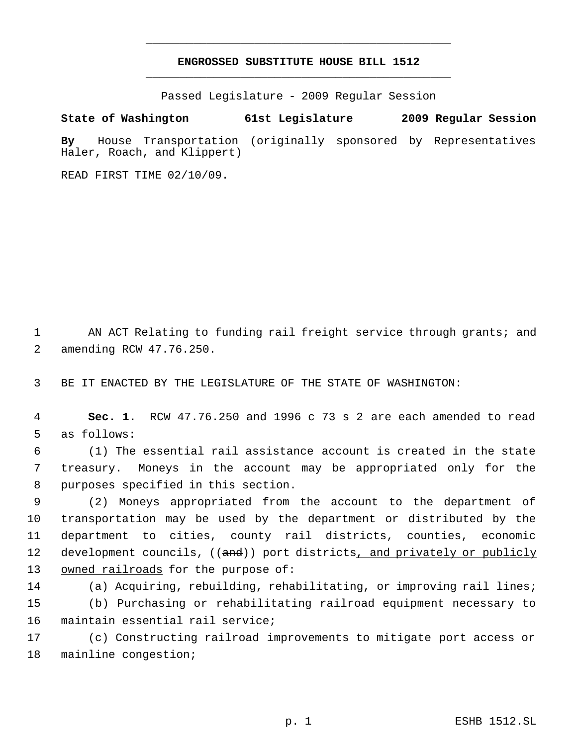# **ENGROSSED SUBSTITUTE HOUSE BILL 1512** \_\_\_\_\_\_\_\_\_\_\_\_\_\_\_\_\_\_\_\_\_\_\_\_\_\_\_\_\_\_\_\_\_\_\_\_\_\_\_\_\_\_\_\_\_

\_\_\_\_\_\_\_\_\_\_\_\_\_\_\_\_\_\_\_\_\_\_\_\_\_\_\_\_\_\_\_\_\_\_\_\_\_\_\_\_\_\_\_\_\_

Passed Legislature - 2009 Regular Session

**State of Washington 61st Legislature 2009 Regular Session By** House Transportation (originally sponsored by Representatives Haler, Roach, and Klippert)

READ FIRST TIME 02/10/09.

1 AN ACT Relating to funding rail freight service through grants; and 2 amending RCW 47.76.250.

3 BE IT ENACTED BY THE LEGISLATURE OF THE STATE OF WASHINGTON:

 4 **Sec. 1.** RCW 47.76.250 and 1996 c 73 s 2 are each amended to read 5 as follows:

 6 (1) The essential rail assistance account is created in the state 7 treasury. Moneys in the account may be appropriated only for the 8 purposes specified in this section.

 9 (2) Moneys appropriated from the account to the department of 10 transportation may be used by the department or distributed by the 11 department to cities, county rail districts, counties, economic 12 development councils, ((and)) port districts<u>, and privately or publicly</u> 13 owned railroads for the purpose of:

14 (a) Acquiring, rebuilding, rehabilitating, or improving rail lines; 15 (b) Purchasing or rehabilitating railroad equipment necessary to 16 maintain essential rail service;

17 (c) Constructing railroad improvements to mitigate port access or 18 mainline congestion;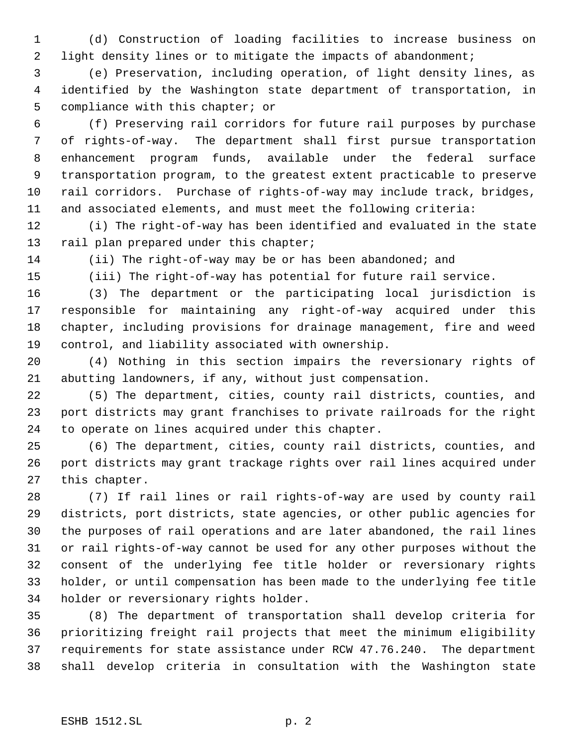(d) Construction of loading facilities to increase business on light density lines or to mitigate the impacts of abandonment;

 (e) Preservation, including operation, of light density lines, as identified by the Washington state department of transportation, in compliance with this chapter; or

 (f) Preserving rail corridors for future rail purposes by purchase of rights-of-way. The department shall first pursue transportation enhancement program funds, available under the federal surface transportation program, to the greatest extent practicable to preserve rail corridors. Purchase of rights-of-way may include track, bridges, and associated elements, and must meet the following criteria:

 (i) The right-of-way has been identified and evaluated in the state 13 rail plan prepared under this chapter;

(ii) The right-of-way may be or has been abandoned; and

(iii) The right-of-way has potential for future rail service.

 (3) The department or the participating local jurisdiction is responsible for maintaining any right-of-way acquired under this chapter, including provisions for drainage management, fire and weed control, and liability associated with ownership.

 (4) Nothing in this section impairs the reversionary rights of abutting landowners, if any, without just compensation.

 (5) The department, cities, county rail districts, counties, and port districts may grant franchises to private railroads for the right to operate on lines acquired under this chapter.

 (6) The department, cities, county rail districts, counties, and port districts may grant trackage rights over rail lines acquired under this chapter.

 (7) If rail lines or rail rights-of-way are used by county rail districts, port districts, state agencies, or other public agencies for the purposes of rail operations and are later abandoned, the rail lines or rail rights-of-way cannot be used for any other purposes without the consent of the underlying fee title holder or reversionary rights holder, or until compensation has been made to the underlying fee title holder or reversionary rights holder.

 (8) The department of transportation shall develop criteria for prioritizing freight rail projects that meet the minimum eligibility requirements for state assistance under RCW 47.76.240. The department shall develop criteria in consultation with the Washington state